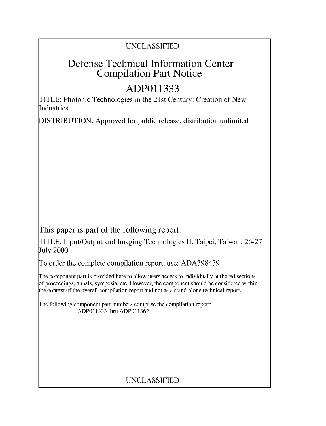## UNCLASSIFIED

# Defense Technical Information Center Compilation Part Notice

# **ADPO1 1333**

TITLE: Photonic Technologies in the 21st Century: Creation of New Industries

DISTRIBUTION: Approved for public release, distribution unlimited

This paper is part of the following report:

TITLE: Input/Output and Imaging Technologies II. Taipei, Taiwan, 26-27 July 2000

To order the complete compilation report, use: ADA398459

The component part is provided here to allow users access to individually authored sections f proceedings, annals, symposia, etc. However, the component should be considered within [he context of the overall compilation report and not as a stand-alone technical report.

The following component part numbers comprise the compilation report: ADP011333 thru ADP011362

## UNCLASSIFIED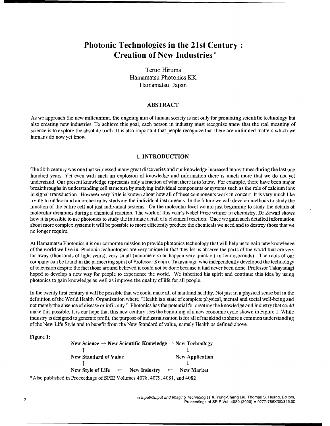## Photonic Technologies in the 21st Century: Creation of New Industries

### Teruo Hiruma Hamamatsu Photonics KK Hamamatsu, Japan

#### ABSTRACT

As we approach the new millennium, the ongoing aim of human society is not only for promoting scientific technology but also creating new industries. To achieve this goal, each person in industry must recognize anew that the real meaning of science is to explore the absolute truth. It is also important that people recognize that there are unlimited matters which we humans do now yet know.

#### 1. **INTRODUCTION**

The 20th century was one that witnessed many great discoveries and our knowledge increased many times during the last one hundred years. Yet even with such an explosion of knowledge and information there is much more that we do not yet understand. Our present knowledge represents only a fraction of what there is to know. For example, there have been major breakthroughs in understanding cell structure by studying individual components or systems such as the role of calcium ions in signal transduction. However very little is known about how all of these components work in concert. It is very much like trying to understand an orchestra by studying the individual instruments. In the future we will develop methods to study the function of the entire cell not just individual systems. On the molecular level we are just beginning to study the details of molecular dynamics'during a chemical reaction. The work of this year's Nobel Prize winner in chemistry, Dr Zewail shows how it is possible to use photonics to study the intimate detail of a chemical reaction. Once we gain such detailed information about more complex systems it will be possible to more efficiently produce the chemicals we need and to destroy those that we no longer require.

At Hamamatsu Photonics it is our corporate mission to provide photonics technology that will help us to gain new knowledge of the world we live in. Photonic technologies are very unique in that they let us observe the parts of the world that are very far away (thousands of light years), very small (nanometers) or happen very quickly ( in femtoseconds). The roots of our company can be found in the pioneering spirit of Professor Kenjiro Takayanagi who independently developed the technology of television despite the fact those around believed it could not be done because it had never been done. Professor Takayanagi hoped to develop a new way for people to experience the world. We inherited his spirit and continue this idea by using photonics to gain knowledge as well as improve the quality of life for all people.

In the twenty first century it will be possible that we could make all of mankind healthy. Not just in a physical sense but in the definition of the World Health Organization where "Health is a state of complete physical, mental and social well-being and not merely the absence of disease or infirmity." Photonics has the potential for creating the knowledge and industry that could make this possible. It is our hope that this new century sees the beginning of a new economic cycle shown in Figure 1. While industry is designed to generate profit, the purpose of industrialization is for all of mankind to share a common understanding of the New Life Style and to benefit from the New Standard of value, namely Health as defined above.

#### Figure **1:**

| New Science $\rightarrow$ New Scientific Knowledge $\rightarrow$ New Technology |                        |
|---------------------------------------------------------------------------------|------------------------|
| <b>New Standard of Value</b>                                                    | <b>New Application</b> |
| New Style of Life $\leftarrow$ New Industry $\leftarrow$ New Market             |                        |
| *Also published in Proceedings of SPIE Volumes 4078, 4079, 4081, and 4082       |                        |

In *InputlOutput and Imaging Technologies II,* Yung-Sheng Liu, Thomas S. Huang, Editors, Proceedings of SPIE Vol. 4080 (2000) **a** 0277-786X/00/\$15.00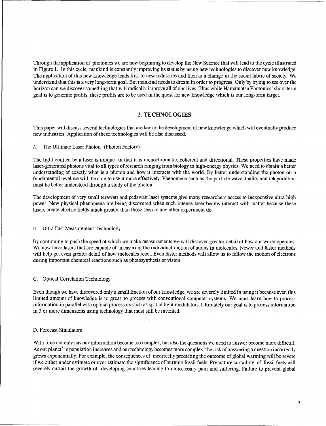Through the application of photonics we are now beginning to develop the New Science that will lead to the cycle illustrated in Figure 1. In this cycle, mankind is constantly improving its status by using new technologies to discover new knowledge. The application of this new knowledge leads first to new industries and then to a change in the social fabric of society. We understand that this is a very long-term goal. But mankind needs to dream in order to progress. Only by trying to see over the horizon can we discover something that will radically improve all of our lives. Thus while Hamamatsu Photonics' short-term goal is to generate profits, these profits are to be used in the quest for new knowledge which is our long-term target.

### 2. **TECHNOLOGIES**

This paper will discuss several technologies that are key to the development of new knowledge which will eventually produce new industries. Application of these technologies will be also discussed.

A. The Ultimate Laser Photon (Photon Factory)

The light emitted by a laser is unique in that it is monochromatic, coherent and directional. These properties have made laser-generated photons vital to all types of research ranging from biology to high-energy physics. We need to obtain a better understanding of exactly what is a photon and how it interacts with the world. By better understanding the photon on a fundamental level we will be able to use it more effectively. Phenomena such as the particle wave duality and teleportation must be better understood through a study of the photon.

The development of very small terawatt and pedawatt laser systems give many researchers access to inexpensive ultra high power. New physical phenomena are being discovered when such intense laser beams interact with matter because these lasers create electric fields much greater than those seen in any other experiment do.

#### B. Ultra Fast Measurement Technology

By continuing to push the speed at which we make measurements we will discover greater detail of how our world operates. We now have lasers that are capable of measuring the individual motion of atoms in molecules. Newer and faster methods will help get even greater detail of how molecules react. Even faster methods will allow us to follow the motion of electrons during important chemical reactions such as photosynthesis or vision.

C. Optical Correlation Technology

Even though we have discovered only a small fraction of our knowledge, we are severely limited in using it because even this limited amount of knowledge is to great to process with conventional computer systems. We must learn how to process information in parallel with optical processors such as spatial light modulators. Ultimately our goal is to process information in 3 or more dimensions using technology that must still be invented.

#### D. Forecast Simulators

With time not only has our information become too complex, but also the questions we need to answer become more difficult. As our planet' s population increases and our technology becomes more complex, the risk of answering a question incorrectly grows exponentially. For example, the consequences of incorrectly predicting the outcome of global warming will be severe if we either under estimate or over estimate the significance of burning fossil fuels. Premature curtailing of fossil fuels will severely curtail the growth of developing countries leading to unnecessary pain and suffering. Failure to prevent global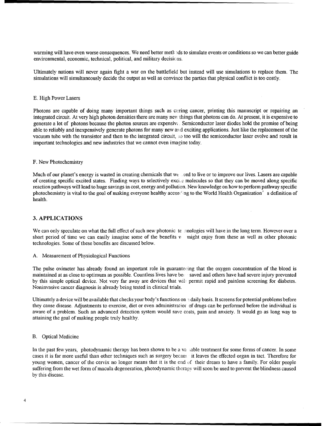warming will have even worse consequences. We need better methods to simulate events or conditions so we can better guide environmental, economic, technical, political, and military decisicns.

Ultimately nations will never again fight a war on the battlefield but instead will use simulations to replace them. The simulations will simultaneously decide the output as well as convince the parties that physical conflict is too costly.

#### E. High Power Lasers

Photons are capable of doing many important things such as curing cancer, printing this manuscript or repairing an integrated circuit. At very high photon densities there are many nev things that photons can do. At present, it is expensive to generate a lot of photons because the photon sources are expensive. Semiconductor laser diodes hold the promise of being able to reliably and inexpensively generate photons for many new **aid** exciting applications. Just like the replacement of the vacuum tube with the transistor and then to the integrated circuit, **:;o** too will the semiconductor laser evolve and result in important technologies and new industries that we cannot even imagine today.

#### F. New Photochemistry

Much of our planet's energy is wasted in creating chemicals that we eld to live or to improve our lives. Lasers are capable of creating specific excited states. Finding ways to selectively excited molecules so that they can be moved along specific reaction pathways will lead to huge savings in cost, energy and pollution. New knowledge on how to perform pathway specific photochemistry is vital to the goal of making everyone healthy according to the World Health Organization's definition of health.

 $\bar{\alpha}$ 

#### **3. APPLICATIONS**

We can only speculate on what the full effect of such new photonic te innologies will have in the long term. However over a short period of time we can easily imagine some of the benefits v might enjoy from these as well as other photonic technologies. Some of these benefits are discussed below.

#### A. Measurement of Physiological Functions

The pulse oximeter has already found an important role in guarantexing that the oxygen concentration of the blood is maintained at as close to optimum as possible. Countless lives have be: saved and others have had severe injury prevented by this simple optical device. Not very far away are devices that wilz permit rapid and painless screening for diabetes. Noninvasive cancer diagnosis is already being tested in clinical trials.

Ultimately a device will be available that checks your body's functions on **,** daily basis. It screens for potential problems before they cause disease. Adjustments to exercise, diet or even administratior of drugs can be performed before the individual is aware of a problem. Such an advanced detection system would save costs, pain and anxiety. It would go as long way to attaining the goal of making people truly healthy.

#### B. Optical Medicine

In the past few years, photodynamic therapy has been shown to be a vasible treatment for some forms of cancer. In some cases it is far more useful than other techniques such as surgery because it leaves the effected organ in tact. Therefore for young women, cancer of the cervix no longer means that it is the end **of** their dream to have a family. For older people suffering from the wet form of macula degeneration, photodynamic therapy will soon be used to prevent the blindness caused by this disease.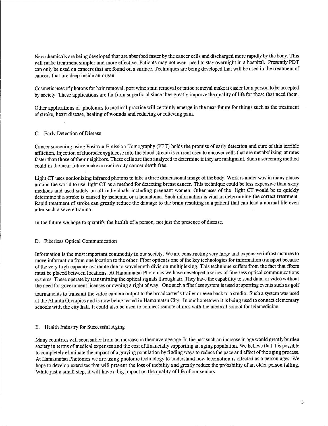New chemicals are being developed that are absorbed faster by the cancer cells and discharged more rapidly by the body. This will make treatment simpler and more effective. Patients may not even need to stay overnight in a hospital. Presently PDT can only be used on cancers that are found on a surface. Techniques are being developed that will be used in the treatment of cancers that are deep inside an organ.

Cosmetic uses of photons for hair removal, port wine stain removal or tattoo removal make it easier for a person to be accepted by society. These applications are far from superficial since they greatly improve the quality of life for those that need them.

Other applications of photonics to medical practice will certainly emerge in the near future for things such as the treatment of stroke, heart disease, healing of wounds and reducing or relieving pain.

#### C. Early Detection of Disease

Cancer screening using Positron Emission Tomography (PET) holds the promise of early detection and cure of this terrible affliction. Injection of fluorodeoxyglucose into the blood stream is current used to uncover cells that are metabolizing at rates faster than those of their neighbors. These cells are then analyzed to determine if they are malignant. Such a screening method could in the near future make an entire city cancer death free.

Light CT uses nonionizing infrared photons to take a three dimensional image of the body. Work is under way in many places around the world to use light CT as a method for detecting breast cancer. This technique could be less expensive than x-ray methods and used safely on all individuals including pregnant women. Other uses of the light CT would be to quickly determine if a stroke is caused by ischemia or a hematoma. Such information is vital in determining the correct treatment. Rapid treatment of stroke can greatly reduce the damage to the brain resulting in a patient that can lead a normal life even after such a severe trauma.

In the future we hope to quantify the health of a person, not just the presence of disease.

#### D. Fiberless Optical Communication

Information is the most important commodity in our society. We are constructing very large and expensive infrastructures to move information from one location to the other. Fiber optics is one of the key technologies for information transport because of the very high capacity available due to wavelength division multiplexing. This technique suffers from the fact that fibers must be placed between locations. At Hamamatsu Photonics we have developed a series of fiberless optical communications systems. These operate by transmitting the optical signals through air. They have the capability to send data, or video without the need for government licenses or owning a right of way. One such a fiberless system is used at sporting events such as golf

tournaments to transmit the video camera output to the broadcaster's trailer or even back to a studio. Such a system was used at the Atlanta Olympics and is now being tested in Hamamatsu City. In our hometown it is being used to connect elementary schools with the city hall. It could also be used to connect remote clinics with the medical school for telemedicine.

#### E. Health Industry for Successful Aging

Many countries will soon suffer from an increase in their average age. In the past such an increase in age would greatly burden society in terms of medical expenses and the cost of financially supporting an aging population. We believe that it is possible to completely eliminate the impact of a graying population by finding ways to reduce the pace and effect of the aging process. At Hamamatsu Photonics we are using photonic technology to understand how locomotion is effected as a person ages. We hope to develop exercises that will prevent the loss of mobility and greatly reduce the probability of an older person falling. While just a small step, it will have a big impact on the quality of life of our seniors.